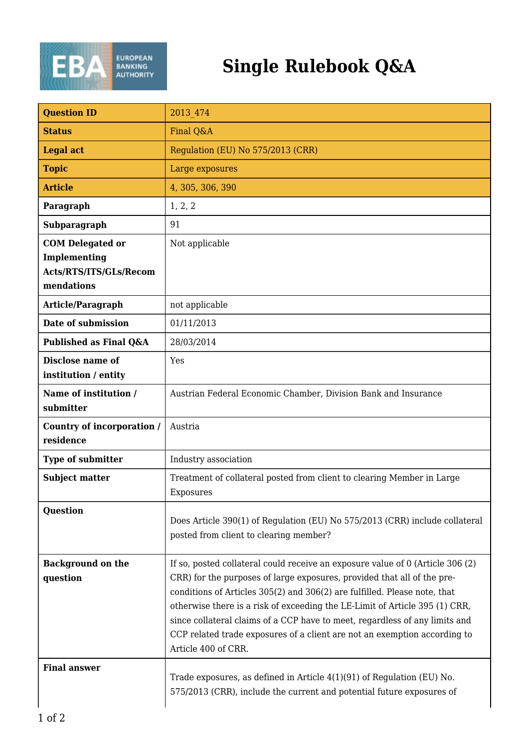

## **Single Rulebook Q&A**

| <b>Ouestion ID</b>                                                              | 2013 474                                                                                                                                                                                                                                                                                                                                                                                                                                                                                                 |
|---------------------------------------------------------------------------------|----------------------------------------------------------------------------------------------------------------------------------------------------------------------------------------------------------------------------------------------------------------------------------------------------------------------------------------------------------------------------------------------------------------------------------------------------------------------------------------------------------|
| <b>Status</b>                                                                   | Final Q&A                                                                                                                                                                                                                                                                                                                                                                                                                                                                                                |
| <b>Legal act</b>                                                                | Regulation (EU) No 575/2013 (CRR)                                                                                                                                                                                                                                                                                                                                                                                                                                                                        |
| <b>Topic</b>                                                                    | Large exposures                                                                                                                                                                                                                                                                                                                                                                                                                                                                                          |
| <b>Article</b>                                                                  | 4, 305, 306, 390                                                                                                                                                                                                                                                                                                                                                                                                                                                                                         |
| Paragraph                                                                       | 1, 2, 2                                                                                                                                                                                                                                                                                                                                                                                                                                                                                                  |
| Subparagraph                                                                    | 91                                                                                                                                                                                                                                                                                                                                                                                                                                                                                                       |
| <b>COM Delegated or</b><br>Implementing<br>Acts/RTS/ITS/GLs/Recom<br>mendations | Not applicable                                                                                                                                                                                                                                                                                                                                                                                                                                                                                           |
| Article/Paragraph                                                               | not applicable                                                                                                                                                                                                                                                                                                                                                                                                                                                                                           |
| Date of submission                                                              | 01/11/2013                                                                                                                                                                                                                                                                                                                                                                                                                                                                                               |
| Published as Final Q&A                                                          | 28/03/2014                                                                                                                                                                                                                                                                                                                                                                                                                                                                                               |
| <b>Disclose name of</b><br>institution / entity                                 | Yes                                                                                                                                                                                                                                                                                                                                                                                                                                                                                                      |
| Name of institution /<br>submitter                                              | Austrian Federal Economic Chamber, Division Bank and Insurance                                                                                                                                                                                                                                                                                                                                                                                                                                           |
| Country of incorporation /<br>residence                                         | Austria                                                                                                                                                                                                                                                                                                                                                                                                                                                                                                  |
| <b>Type of submitter</b>                                                        | Industry association                                                                                                                                                                                                                                                                                                                                                                                                                                                                                     |
| <b>Subject matter</b>                                                           | Treatment of collateral posted from client to clearing Member in Large<br>Exposures                                                                                                                                                                                                                                                                                                                                                                                                                      |
| <b>Question</b>                                                                 | Does Article 390(1) of Regulation (EU) No 575/2013 (CRR) include collateral<br>posted from client to clearing member?                                                                                                                                                                                                                                                                                                                                                                                    |
| <b>Background on the</b><br>question                                            | If so, posted collateral could receive an exposure value of 0 (Article 306 (2)<br>CRR) for the purposes of large exposures, provided that all of the pre-<br>conditions of Articles 305(2) and 306(2) are fulfilled. Please note, that<br>otherwise there is a risk of exceeding the LE-Limit of Article 395 (1) CRR,<br>since collateral claims of a CCP have to meet, regardless of any limits and<br>CCP related trade exposures of a client are not an exemption according to<br>Article 400 of CRR. |
| <b>Final answer</b>                                                             | Trade exposures, as defined in Article $4(1)(91)$ of Regulation (EU) No.<br>575/2013 (CRR), include the current and potential future exposures of                                                                                                                                                                                                                                                                                                                                                        |